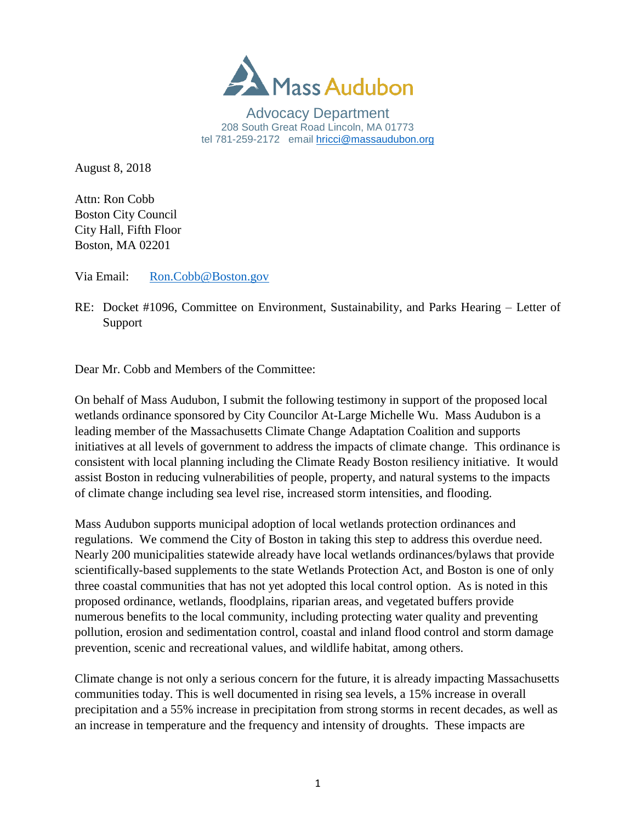

Advocacy Department 208 South Great Road Lincoln, MA 01773 tel 781-259-2172 email hricci@massaudubon.org

August 8, 2018

Attn: Ron Cobb Boston City Council City Hall, Fifth Floor Boston, MA 02201

Via Email: [Ron.Cobb@Boston.gov](mailto:Ron.Cobb@Boston.gov)

RE: Docket #1096, Committee on Environment, Sustainability, and Parks Hearing – Letter of Support

Dear Mr. Cobb and Members of the Committee:

On behalf of Mass Audubon, I submit the following testimony in support of the proposed local wetlands ordinance sponsored by City Councilor At-Large Michelle Wu. Mass Audubon is a leading member of the Massachusetts Climate Change Adaptation Coalition and supports initiatives at all levels of government to address the impacts of climate change. This ordinance is consistent with local planning including the Climate Ready Boston resiliency initiative. It would assist Boston in reducing vulnerabilities of people, property, and natural systems to the impacts of climate change including sea level rise, increased storm intensities, and flooding.

Mass Audubon supports municipal adoption of local wetlands protection ordinances and regulations. We commend the City of Boston in taking this step to address this overdue need. Nearly 200 municipalities statewide already have local wetlands ordinances/bylaws that provide scientifically-based supplements to the state Wetlands Protection Act, and Boston is one of only three coastal communities that has not yet adopted this local control option. As is noted in this proposed ordinance, wetlands, floodplains, riparian areas, and vegetated buffers provide numerous benefits to the local community, including protecting water quality and preventing pollution, erosion and sedimentation control, coastal and inland flood control and storm damage prevention, scenic and recreational values, and wildlife habitat, among others.

Climate change is not only a serious concern for the future, it is already impacting Massachusetts communities today. This is well documented in rising sea levels, a 15% increase in overall precipitation and a 55% increase in precipitation from strong storms in recent decades, as well as an increase in temperature and the frequency and intensity of droughts. These impacts are